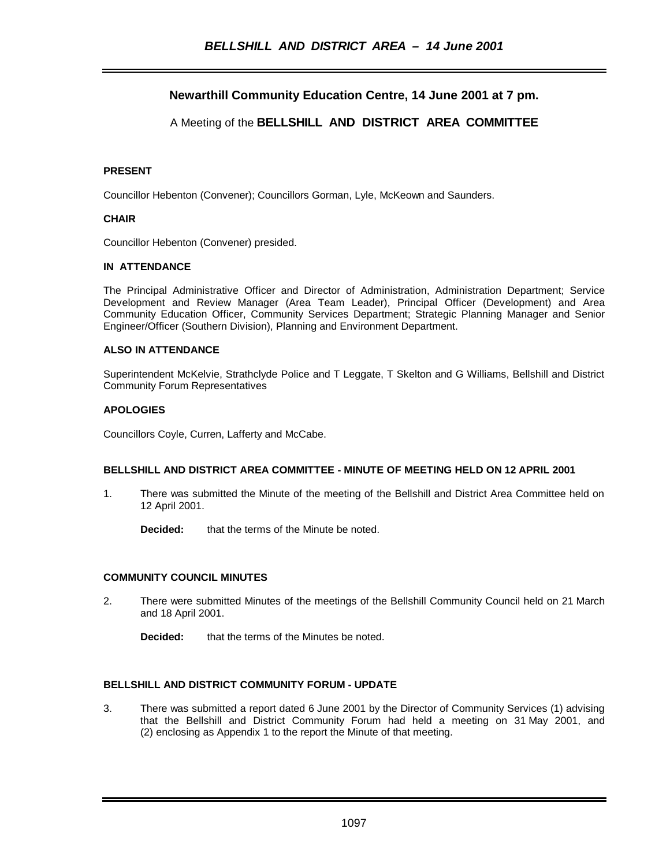# **Newarthill Community Education Centre, 14 June 2001 at 7 pm.**

# A Meeting of the **BELLSHILL AND DISTRICT AREA COMMITTEE**

### **PRESENT**

Councillor Hebenton (Convener); Councillors Gorman, Lyle, McKeown and Saunders.

#### **CHAIR**

Councillor Hebenton (Convener) presided.

#### **IN ATTENDANCE**

The Principal Administrative Officer and Director of Administration, Administration Department; Service Development and Review Manager (Area Team Leader), Principal Officer (Development) and Area Community Education Officer, Community Services Department; Strategic Planning Manager and Senior Engineer/Officer (Southern Division), Planning and Environment Department.

## **ALSO IN ATTENDANCE**

Superintendent McKelvie, Strathclyde Police and T Leggate, T Skelton and G Williams, Bellshill and District Community Forum Representatives

#### **APOLOGIES**

Councillors Coyle, Curren, Lafferty and McCabe.

#### **BELLSHILL AND DISTRICT AREA COMMITTEE - MINUTE OF MEETING HELD ON 12 APRIL 2001**

1. There was submitted the Minute of the meeting of the Bellshill and District Area Committee held on 12 April 2001.

**Decided:** that the terms of the Minute be noted.

#### **COMMUNITY COUNCIL MINUTES**

2. There were submitted Minutes of the meetings of the Bellshill Community Council held on 21 March and 18 April 2001.

**Decided:** that the terms of the Minutes be noted.

#### **BELLSHILL AND DISTRICT COMMUNITY FORUM - UPDATE**

3. There was submitted a report dated 6 June 2001 by the Director of Community Services (1) advising that the Bellshill and District Community Forum had held a meeting on 31 May 2001, and (2) enclosing as Appendix 1 to the report the Minute of that meeting.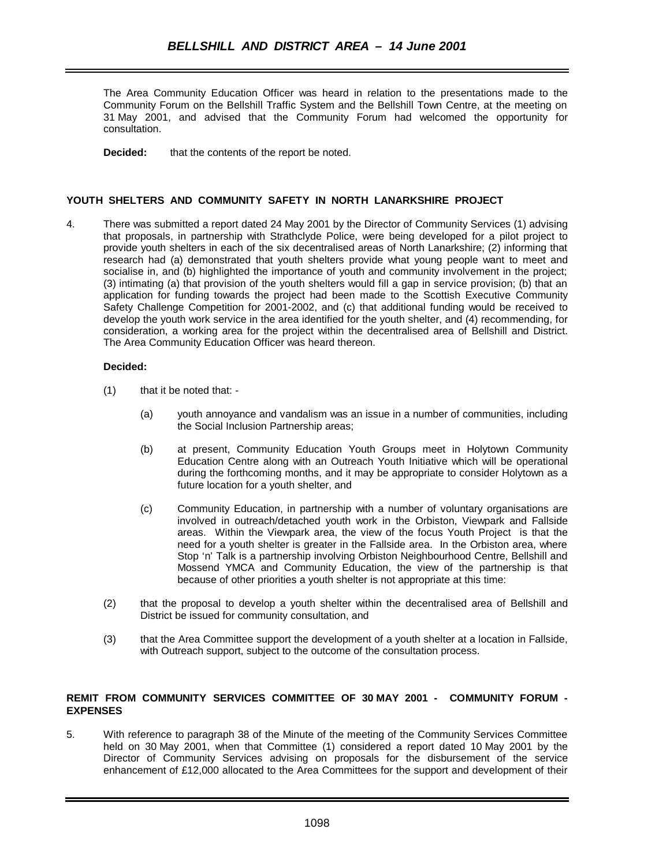The Area Community Education Officer was heard in relation to the presentations made to the Community Forum on the Bellshill Traffic System and the Bellshill Town Centre, at the meeting on 31 May 2001, and advised that the Community Forum had welcomed the opportunity for consultation.

**Decided:** that the contents of the report be noted.

## **YOUTH SHELTERS AND COMMUNITY SAFETY IN NORTH LANARKSHIRE PROJECT**

4. There was submitted a report dated 24 May 2001 by the Director of Community Services (1) advising that proposals, in partnership with Strathclyde Police, were being developed for a pilot project to provide youth shelters in each of the six decentralised areas of North Lanarkshire; (2) informing that research had (a) demonstrated that youth shelters provide what young people want to meet and socialise in, and (b) highlighted the importance of youth and community involvement in the project; (3) intimating (a) that provision of the youth shelters would fill a gap in service provision; (b) that an application for funding towards the project had been made to the Scottish Executive Community Safety Challenge Competition for 2001-2002, and (c) that additional funding would be received to develop the youth work service in the area identified for the youth shelter, and (4) recommending, for consideration, a working area for the project within the decentralised area of Bellshill and District. The Area Community Education Officer was heard thereon.

#### **Decided:**

- (1) that it be noted that:
	- (a) youth annoyance and vandalism was an issue in a number of communities, including the Social Inclusion Partnership areas;
	- (b) at present, Community Education Youth Groups meet in Holytown Community Education Centre along with an Outreach Youth Initiative which will be operational during the forthcoming months, and it may be appropriate to consider Holytown as a future location for a youth shelter, and
	- (c) Community Education, in partnership with a number of voluntary organisations are involved in outreach/detached youth work in the Orbiston, Viewpark and Fallside areas. Within the Viewpark area, the view of the focus Youth Project is that the need for a youth shelter is greater in the Fallside area. In the Orbiston area, where Stop 'n' Talk is a partnership involving Orbiston Neighbourhood Centre, Bellshill and Mossend YMCA and Community Education, the view of the partnership is that because of other priorities a youth shelter is not appropriate at this time:
- (2) that the proposal to develop a youth shelter within the decentralised area of Bellshill and District be issued for community consultation, and
- (3) that the Area Committee support the development of a youth shelter at a location in Fallside, with Outreach support, subject to the outcome of the consultation process.

## **REMIT FROM COMMUNITY SERVICES COMMITTEE OF 30 MAY 2001 - COMMUNITY FORUM - EXPENSES**

5. With reference to paragraph 38 of the Minute of the meeting of the Community Services Committee held on 30 May 2001, when that Committee (1) considered a report dated 10 May 2001 by the Director of Community Services advising on proposals for the disbursement of the service enhancement of £12,000 allocated to the Area Committees for the support and development of their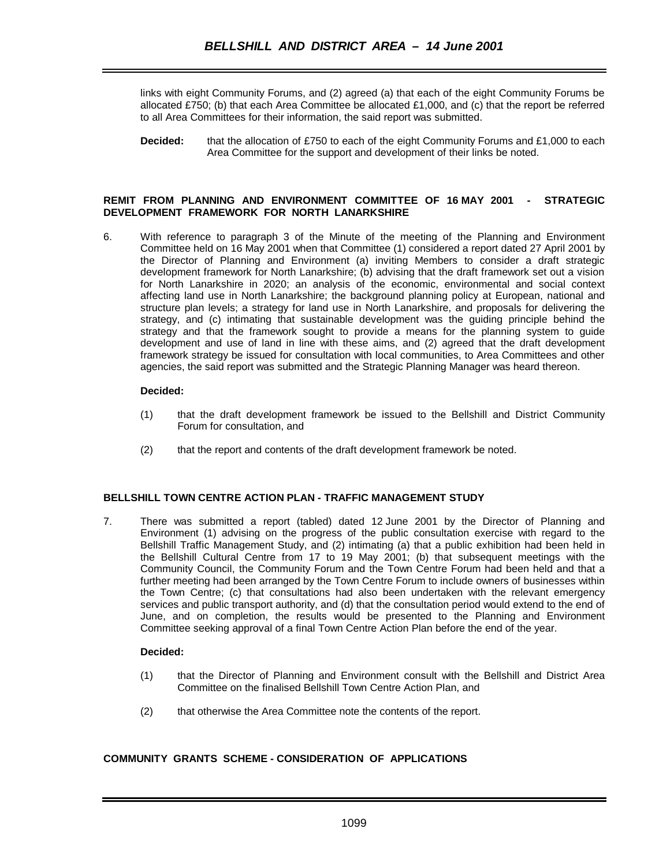links with eight Community Forums, and (2) agreed (a) that each of the eight Community Forums be allocated £750; (b) that each Area Committee be allocated £1,000, and (c) that the report be referred to all Area Committees for their information, the said report was submitted.

**Decided:** that the allocation of £750 to each of the eight Community Forums and £1,000 to each Area Committee for the support and development of their links be noted.

#### **REMIT FROM PLANNING AND ENVIRONMENT COMMITTEE OF 16 MAY 2001 - STRATEGIC DEVELOPMENT FRAMEWORK FOR NORTH LANARKSHIRE**

6. With reference to paragraph 3 of the Minute of the meeting of the Planning and Environment Committee held on 16 May 2001 when that Committee (1) considered a report dated 27 April 2001 by the Director of Planning and Environment (a) inviting Members to consider a draft strategic development framework for North Lanarkshire; (b) advising that the draft framework set out a vision for North Lanarkshire in 2020; an analysis of the economic, environmental and social context affecting land use in North Lanarkshire; the background planning policy at European, national and structure plan levels; a strategy for land use in North Lanarkshire, and proposals for delivering the strategy, and (c) intimating that sustainable development was the guiding principle behind the strategy and that the framework sought to provide a means for the planning system to guide development and use of land in line with these aims, and (2) agreed that the draft development framework strategy be issued for consultation with local communities, to Area Committees and other agencies, the said report was submitted and the Strategic Planning Manager was heard thereon.

## **Decided:**

- (1) that the draft development framework be issued to the Bellshill and District Community Forum for consultation, and
- (2) that the report and contents of the draft development framework be noted.

## **BELLSHILL TOWN CENTRE ACTION PLAN - TRAFFIC MANAGEMENT STUDY**

7. There was submitted a report (tabled) dated 12 June 2001 by the Director of Planning and Environment (1) advising on the progress of the public consultation exercise with regard to the Bellshill Traffic Management Study, and (2) intimating (a) that a public exhibition had been held in the Bellshill Cultural Centre from 17 to 19 May 2001; (b) that subsequent meetings with the Community Council, the Community Forum and the Town Centre Forum had been held and that a further meeting had been arranged by the Town Centre Forum to include owners of businesses within the Town Centre; (c) that consultations had also been undertaken with the relevant emergency services and public transport authority, and (d) that the consultation period would extend to the end of June, and on completion, the results would be presented to the Planning and Environment Committee seeking approval of a final Town Centre Action Plan before the end of the year.

## **Decided:**

- (1) that the Director of Planning and Environment consult with the Bellshill and District Area Committee on the finalised Bellshill Town Centre Action Plan, and
- (2) that otherwise the Area Committee note the contents of the report.

## **COMMUNITY GRANTS SCHEME - CONSIDERATION OF APPLICATIONS**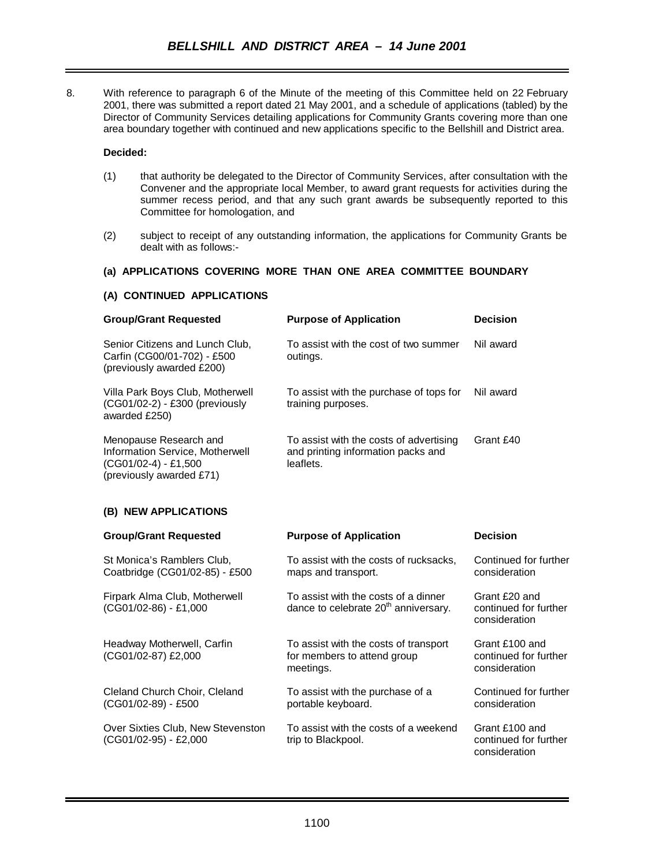8. With reference to paragraph 6 of the Minute of the meeting of this Committee held on 22 February 2001, there was submitted a report dated 21 May 2001, and a schedule of applications (tabled) by the Director of Community Services detailing applications for Community Grants covering more than one area boundary together with continued and new applications specific to the Bellshill and District area.

#### **Decided:**

- (1) that authority be delegated to the Director of Community Services, after consultation with the Convener and the appropriate local Member, to award grant requests for activities during the summer recess period, and that any such grant awards be subsequently reported to this Committee for homologation, and
- (2) subject to receipt of any outstanding information, the applications for Community Grants be dealt with as follows:-

## **(a) APPLICATIONS COVERING MORE THAN ONE AREA COMMITTEE BOUNDARY**

#### **(A) CONTINUED APPLICATIONS**

| <b>Group/Grant Requested</b>                                                                                  | <b>Purpose of Application</b>                                                              | <b>Decision</b>                                          |
|---------------------------------------------------------------------------------------------------------------|--------------------------------------------------------------------------------------------|----------------------------------------------------------|
| Senior Citizens and Lunch Club,<br>Carfin (CG00/01-702) - £500<br>(previously awarded £200)                   | To assist with the cost of two summer<br>outings.                                          | Nil award                                                |
| Villa Park Boys Club, Motherwell<br>(CG01/02-2) - £300 (previously<br>awarded £250)                           | To assist with the purchase of tops for<br>training purposes.                              | Nil award                                                |
| Menopause Research and<br>Information Service, Motherwell<br>(CG01/02-4) - £1,500<br>(previously awarded £71) | To assist with the costs of advertising<br>and printing information packs and<br>leaflets. | Grant £40                                                |
| (B) NEW APPLICATIONS                                                                                          |                                                                                            |                                                          |
| <b>Group/Grant Requested</b>                                                                                  | <b>Purpose of Application</b>                                                              | <b>Decision</b>                                          |
| St Monica's Ramblers Club,<br>Coatbridge (CG01/02-85) - £500                                                  | To assist with the costs of rucksacks,<br>maps and transport.                              | Continued for further<br>consideration                   |
| Firpark Alma Club, Motherwell<br>(CG01/02-86) - £1,000                                                        | To assist with the costs of a dinner<br>dance to celebrate 20 <sup>th</sup> anniversary.   | Grant £20 and<br>continued for further<br>consideration  |
| Headway Motherwell, Carfin<br>(CG01/02-87) £2,000                                                             | To assist with the costs of transport<br>for members to attend group<br>meetings.          | Grant £100 and<br>continued for further<br>consideration |
| Cleland Church Choir, Cleland<br>(CG01/02-89) - £500                                                          | To assist with the purchase of a<br>portable keyboard.                                     | Continued for further<br>consideration                   |
| Over Sixties Club, New Stevenston<br>(CG01/02-95) - £2,000                                                    | To assist with the costs of a weekend<br>trip to Blackpool.                                | Grant £100 and<br>continued for further<br>consideration |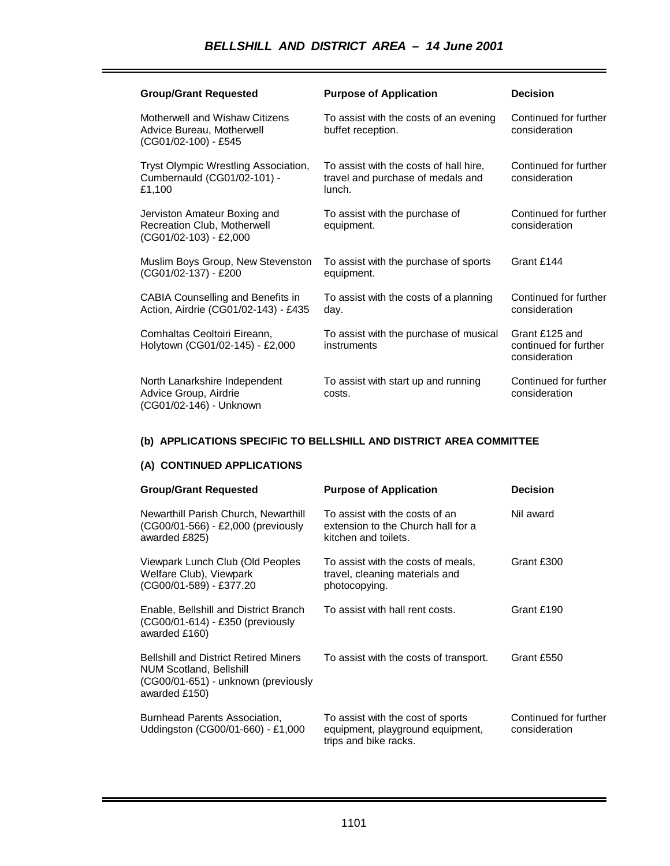| <b>Group/Grant Requested</b>                                                          | <b>Purpose of Application</b>                                                         | <b>Decision</b>                                          |
|---------------------------------------------------------------------------------------|---------------------------------------------------------------------------------------|----------------------------------------------------------|
| Motherwell and Wishaw Citizens<br>Advice Bureau, Motherwell<br>(CG01/02-100) - £545   | To assist with the costs of an evening<br>buffet reception.                           | Continued for further<br>consideration                   |
| Tryst Olympic Wrestling Association,<br>Cumbernauld (CG01/02-101) -<br>£1,100         | To assist with the costs of hall hire,<br>travel and purchase of medals and<br>lunch. | Continued for further<br>consideration                   |
| Jerviston Amateur Boxing and<br>Recreation Club, Motherwell<br>(CG01/02-103) - £2,000 | To assist with the purchase of<br>equipment.                                          | Continued for further<br>consideration                   |
| Muslim Boys Group, New Stevenston<br>(CG01/02-137) - £200                             | To assist with the purchase of sports<br>equipment.                                   | Grant £144                                               |
| CABIA Counselling and Benefits in<br>Action, Airdrie (CG01/02-143) - £435             | To assist with the costs of a planning<br>day.                                        | Continued for further<br>consideration                   |
| Comhaltas Ceoltoiri Eireann,<br>Holytown (CG01/02-145) - £2,000                       | To assist with the purchase of musical<br>instruments                                 | Grant £125 and<br>continued for further<br>consideration |
| North Lanarkshire Independent<br>Advice Group, Airdrie<br>(CG01/02-146) - Unknown     | To assist with start up and running<br>costs.                                         | Continued for further<br>consideration                   |

# **(b) APPLICATIONS SPECIFIC TO BELLSHILL AND DISTRICT AREA COMMITTEE**

## **(A) CONTINUED APPLICATIONS**

| <b>Group/Grant Requested</b>                                                                                                    | <b>Purpose of Application</b>                                                                  | <b>Decision</b>                        |
|---------------------------------------------------------------------------------------------------------------------------------|------------------------------------------------------------------------------------------------|----------------------------------------|
| Newarthill Parish Church, Newarthill<br>(CG00/01-566) - £2,000 (previously<br>awarded £825)                                     | To assist with the costs of an<br>extension to the Church hall for a<br>kitchen and toilets.   | Nil award                              |
| Viewpark Lunch Club (Old Peoples<br>Welfare Club), Viewpark<br>(CG00/01-589) - £377.20                                          | To assist with the costs of meals,<br>travel, cleaning materials and<br>photocopying.          | Grant £300                             |
| Enable, Bellshill and District Branch<br>(CG00/01-614) - £350 (previously<br>awarded £160)                                      | To assist with hall rent costs.                                                                | Grant £190                             |
| <b>Bellshill and District Retired Miners</b><br>NUM Scotland, Bellshill<br>(CG00/01-651) - unknown (previously<br>awarded £150) | To assist with the costs of transport.                                                         | Grant £550                             |
| Burnhead Parents Association,<br>Uddingston (CG00/01-660) - £1,000                                                              | To assist with the cost of sports<br>equipment, playground equipment,<br>trips and bike racks. | Continued for further<br>consideration |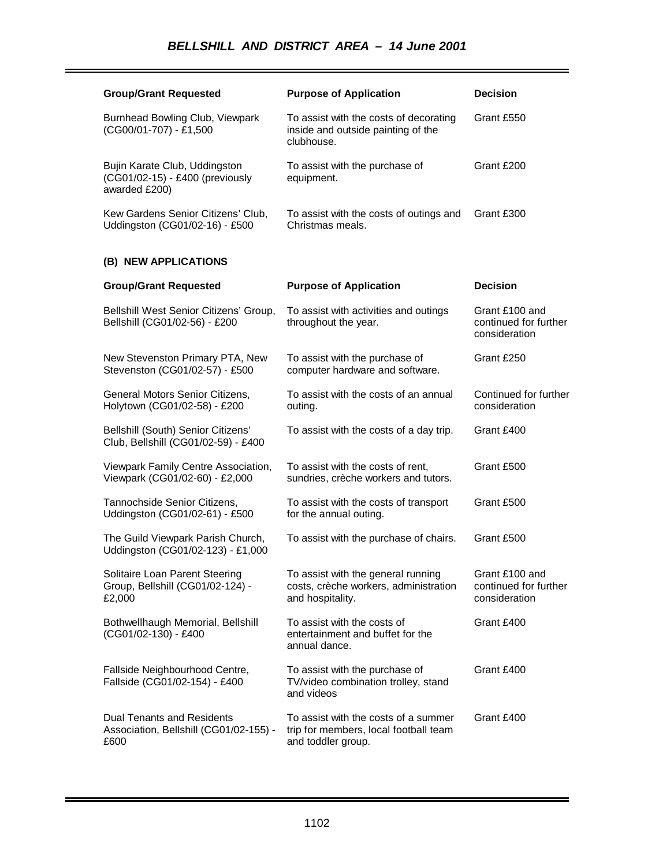| <b>Group/Grant Requested</b>                                                        | <b>Purpose of Application</b>                                                                       | <b>Decision</b>                                          |
|-------------------------------------------------------------------------------------|-----------------------------------------------------------------------------------------------------|----------------------------------------------------------|
| <b>Burnhead Bowling Club, Viewpark</b><br>(CG00/01-707) - £1,500                    | To assist with the costs of decorating<br>inside and outside painting of the<br>clubhouse.          | Grant £550                                               |
| Bujin Karate Club, Uddingston<br>(CG01/02-15) - £400 (previously<br>awarded £200)   | To assist with the purchase of<br>equipment.                                                        | Grant £200                                               |
| Kew Gardens Senior Citizens' Club,<br>Uddingston (CG01/02-16) - £500                | To assist with the costs of outings and<br>Christmas meals.                                         | Grant £300                                               |
| (B) NEW APPLICATIONS                                                                |                                                                                                     |                                                          |
| <b>Group/Grant Requested</b>                                                        | <b>Purpose of Application</b>                                                                       | <b>Decision</b>                                          |
| Bellshill West Senior Citizens' Group,<br>Bellshill (CG01/02-56) - £200             | To assist with activities and outings<br>throughout the year.                                       | Grant £100 and<br>continued for further<br>consideration |
| New Stevenston Primary PTA, New<br>Stevenston (CG01/02-57) - £500                   | To assist with the purchase of<br>computer hardware and software.                                   | Grant £250                                               |
| General Motors Senior Citizens,<br>Holytown (CG01/02-58) - £200                     | To assist with the costs of an annual<br>outing.                                                    | Continued for further<br>consideration                   |
| Bellshill (South) Senior Citizens'<br>Club, Bellshill (CG01/02-59) - £400           | To assist with the costs of a day trip.                                                             | Grant £400                                               |
| Viewpark Family Centre Association,<br>Viewpark (CG01/02-60) - £2,000               | To assist with the costs of rent,<br>sundries, crèche workers and tutors.                           | Grant £500                                               |
| Tannochside Senior Citizens,<br>Uddingston (CG01/02-61) - £500                      | To assist with the costs of transport<br>for the annual outing.                                     | Grant £500                                               |
| The Guild Viewpark Parish Church,<br>Uddingston (CG01/02-123) - £1,000              | To assist with the purchase of chairs.                                                              | Grant £500                                               |
| Solitaire Loan Parent Steering<br>Group, Bellshill (CG01/02-124) -<br>£2,000        | To assist with the general running<br>costs, crèche workers, administration<br>and hospitality.     | Grant £100 and<br>continued for further<br>consideration |
| Bothwellhaugh Memorial, Bellshill<br>(CG01/02-130) - £400                           | To assist with the costs of<br>entertainment and buffet for the<br>annual dance.                    | Grant £400                                               |
| Fallside Neighbourhood Centre,<br>Fallside (CG01/02-154) - £400                     | To assist with the purchase of<br>TV/video combination trolley, stand<br>and videos                 | Grant £400                                               |
| <b>Dual Tenants and Residents</b><br>Association, Bellshill (CG01/02-155) -<br>£600 | To assist with the costs of a summer<br>trip for members, local football team<br>and toddler group. | Grant £400                                               |

÷.